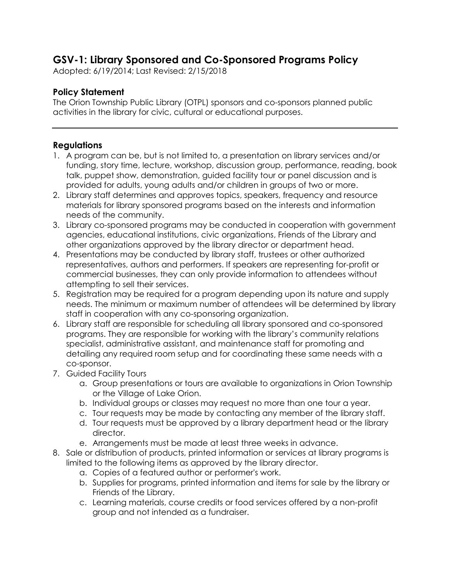## **GSV-1: Library Sponsored and Co-Sponsored Programs Policy**

Adopted: 6/19/2014; Last Revised: 2/15/2018

## **Policy Statement**

The Orion Township Public Library (OTPL) sponsors and co-sponsors planned public activities in the library for civic, cultural or educational purposes.

## **Regulations**

- 1. A program can be, but is not limited to, a presentation on library services and/or funding, story time, lecture, workshop, discussion group, performance, reading, book talk, puppet show, demonstration, guided facility tour or panel discussion and is provided for adults, young adults and/or children in groups of two or more.
- 2. Library staff determines and approves topics, speakers, frequency and resource materials for library sponsored programs based on the interests and information needs of the community.
- 3. Library co-sponsored programs may be conducted in cooperation with government agencies, educational institutions, civic organizations, Friends of the Library and other organizations approved by the library director or department head.
- 4. Presentations may be conducted by library staff, trustees or other authorized representatives, authors and performers. If speakers are representing for-profit or commercial businesses, they can only provide information to attendees without attempting to sell their services.
- 5. Registration may be required for a program depending upon its nature and supply needs. The minimum or maximum number of attendees will be determined by library staff in cooperation with any co-sponsoring organization.
- 6. Library staff are responsible for scheduling all library sponsored and co-sponsored programs. They are responsible for working with the library's community relations specialist, administrative assistant, and maintenance staff for promoting and detailing any required room setup and for coordinating these same needs with a co-sponsor.
- 7. Guided Facility Tours
	- a. Group presentations or tours are available to organizations in Orion Township or the Village of Lake Orion.
	- b. Individual groups or classes may request no more than one tour a year.
	- c. Tour requests may be made by contacting any member of the library staff.
	- d. Tour requests must be approved by a library department head or the library director.
	- e. Arrangements must be made at least three weeks in advance.
- 8. Sale or distribution of products, printed information or services at library programs is limited to the following items as approved by the library director.
	- a. Copies of a featured author or performer's work.
	- b. Supplies for programs, printed information and items for sale by the library or Friends of the Library.
	- c. Learning materials, course credits or food services offered by a non-profit group and not intended as a fundraiser.